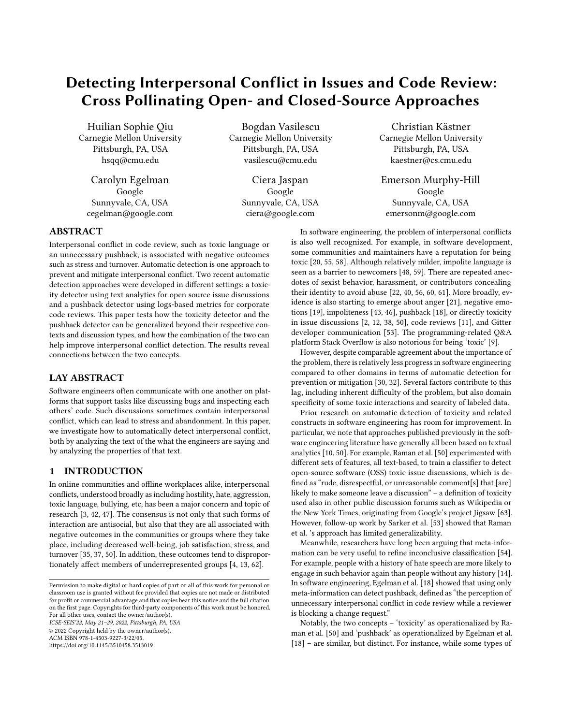# Detecting Interpersonal Conflict in Issues and Code Review: Cross Pollinating Open- and Closed-Source Approaches

Huilian Sophie Qiu Carnegie Mellon University Pittsburgh, PA, USA hsqq@cmu.edu

Carolyn Egelman Google Sunnyvale, CA, USA cegelman@google.com

Bogdan Vasilescu Carnegie Mellon University Pittsburgh, PA, USA vasilescu@cmu.edu

> Ciera Jaspan Google Sunnyvale, CA, USA ciera@google.com

Christian Kästner Carnegie Mellon University Pittsburgh, PA, USA kaestner@cs.cmu.edu

Emerson Murphy-Hill Google Sunnyvale, CA, USA emersonm@google.com

# ABSTRACT

Interpersonal conflict in code review, such as toxic language or an unnecessary pushback, is associated with negative outcomes such as stress and turnover. Automatic detection is one approach to prevent and mitigate interpersonal conflict. Two recent automatic detection approaches were developed in different settings: a toxicity detector using text analytics for open source issue discussions and a pushback detector using logs-based metrics for corporate code reviews. This paper tests how the toxicity detector and the pushback detector can be generalized beyond their respective contexts and discussion types, and how the combination of the two can help improve interpersonal conflict detection. The results reveal connections between the two concepts.

# LAY ABSTRACT

Software engineers often communicate with one another on platforms that support tasks like discussing bugs and inspecting each others' code. Such discussions sometimes contain interpersonal conflict, which can lead to stress and abandonment. In this paper, we investigate how to automatically detect interpersonal conflict, both by analyzing the text of the what the engineers are saying and by analyzing the properties of that text.

# 1 INTRODUCTION

In online communities and offline workplaces alike, interpersonal conflicts, understood broadly as including hostility, hate, aggression, toxic language, bullying, etc, has been a major concern and topic of research [\[3,](#page-11-0) [42,](#page-11-1) [47\]](#page-12-0). The consensus is not only that such forms of interaction are antisocial, but also that they are all associated with negative outcomes in the communities or groups where they take place, including decreased well-being, job satisfaction, stress, and turnover [\[35,](#page-11-2) [37,](#page-11-3) [50\]](#page-12-1). In addition, these outcomes tend to disproportionately affect members of underrepresented groups [\[4,](#page-11-4) [13,](#page-11-5) [62\]](#page-12-2).

ICSE-SEIS'22, May 21–29, 2022, Pittsburgh, PA, USA © 2022 Copyright held by the owner/author(s).

ACM ISBN 978-1-4503-9227-3/22/05.

<https://doi.org/10.1145/3510458.3513019>

In software engineering, the problem of interpersonal conflicts is also well recognized. For example, in software development, some communities and maintainers have a reputation for being toxic [\[20,](#page-11-6) [55,](#page-12-3) [58\]](#page-12-4). Although relatively milder, impolite language is seen as a barrier to newcomers [\[48,](#page-12-5) [59\]](#page-12-6). There are repeated anecdotes of sexist behavior, harassment, or contributors concealing their identity to avoid abuse [\[22,](#page-11-7) [40,](#page-11-8) [56,](#page-12-7) [60,](#page-12-8) [61\]](#page-12-9). More broadly, evidence is also starting to emerge about anger [\[21\]](#page-11-9), negative emotions [\[19\]](#page-11-10), impoliteness [\[43,](#page-11-11) [46\]](#page-12-10), pushback [\[18\]](#page-11-12), or directly toxicity in issue discussions [\[2,](#page-11-13) [12,](#page-11-14) [38,](#page-11-15) [50\]](#page-12-1), code reviews [\[11\]](#page-11-16), and Gitter developer communication [\[53\]](#page-12-11). The programming-related Q&A platform Stack Overflow is also notorious for being 'toxic' [\[9\]](#page-11-17).

However, despite comparable agreement about the importance of the problem, there is relatively less progress in software engineering compared to other domains in terms of automatic detection for prevention or mitigation [\[30,](#page-11-18) [32\]](#page-11-19). Several factors contribute to this lag, including inherent difficulty of the problem, but also domain specificity of some toxic interactions and scarcity of labeled data.

Prior research on automatic detection of toxicity and related constructs in software engineering has room for improvement. In particular, we note that approaches published previously in the software engineering literature have generally all been based on textual analytics [\[10,](#page-11-20) [50\]](#page-12-1). For example, Raman et al. [\[50\]](#page-12-1) experimented with different sets of features, all text-based, to train a classifier to detect open-source software (OSS) toxic issue discussions, which is defined as "rude, disrespectful, or unreasonable comment[s] that [are] likely to make someone leave a discussion" – a definition of toxicity used also in other public discussion forums such as Wikipedia or the New York Times, originating from Google's project Jigsaw [\[63\]](#page-12-12). However, follow-up work by Sarker et al. [\[53\]](#page-12-11) showed that Raman et al. 's approach has limited generalizability.

Meanwhile, researchers have long been arguing that meta-information can be very useful to refine inconclusive classification [\[54\]](#page-12-13). For example, people with a history of hate speech are more likely to engage in such behavior again than people without any history [\[14\]](#page-11-21). In software engineering, Egelman et al. [\[18\]](#page-11-12) showed that using only meta-information can detect pushback, defined as "the perception of unnecessary interpersonal conflict in code review while a reviewer is blocking a change request."

Notably, the two concepts – 'toxicity' as operationalized by Raman et al. [\[50\]](#page-12-1) and 'pushback' as operationalized by Egelman et al. [\[18\]](#page-11-12) – are similar, but distinct. For instance, while some types of

Permission to make digital or hard copies of part or all of this work for personal or classroom use is granted without fee provided that copies are not made or distributed for profit or commercial advantage and that copies bear this notice and the full citation on the first page. Copyrights for third-party components of this work must be honored. For all other uses, contact the owner/author(s).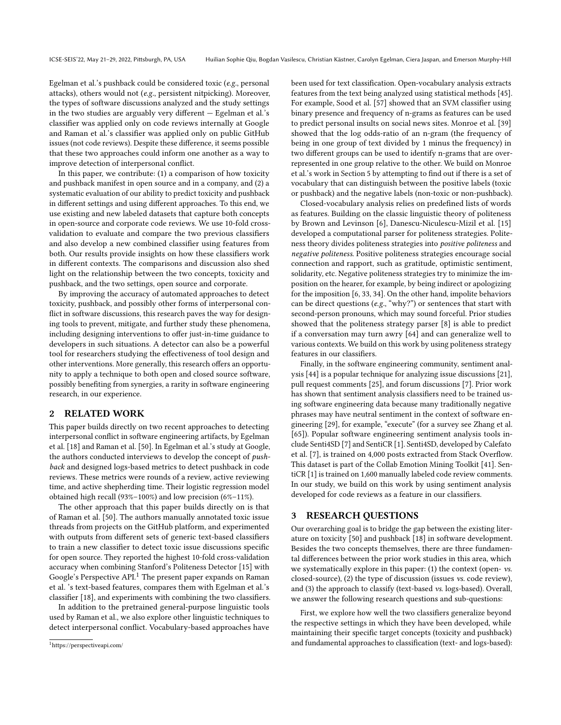Egelman et al.'s pushback could be considered toxic (e.g., personal attacks), others would not (e.g., persistent nitpicking). Moreover, the types of software discussions analyzed and the study settings in the two studies are arguably very different — Egelman et al.'s classifier was applied only on code reviews internally at Google and Raman et al.'s classifier was applied only on public GitHub issues (not code reviews). Despite these difference, it seems possible that these two approaches could inform one another as a way to improve detection of interpersonal conflict.

In this paper, we contribute: (1) a comparison of how toxicity and pushback manifest in open source and in a company, and (2) a systematic evaluation of our ability to predict toxicity and pushback in different settings and using different approaches. To this end, we use existing and new labeled datasets that capture both concepts in open-source and corporate code reviews. We use 10-fold crossvalidation to evaluate and compare the two previous classifiers and also develop a new combined classifier using features from both. Our results provide insights on how these classifiers work in different contexts. The comparisons and discussion also shed light on the relationship between the two concepts, toxicity and pushback, and the two settings, open source and corporate.

By improving the accuracy of automated approaches to detect toxicity, pushback, and possibly other forms of interpersonal conflict in software discussions, this research paves the way for designing tools to prevent, mitigate, and further study these phenomena, including designing interventions to offer just-in-time guidance to developers in such situations. A detector can also be a powerful tool for researchers studying the effectiveness of tool design and other interventions. More generally, this research offers an opportunity to apply a technique to both open and closed source software, possibly benefiting from synergies, a rarity in software engineering research, in our experience.

# 2 RELATED WORK

This paper builds directly on two recent approaches to detecting interpersonal conflict in software engineering artifacts, by Egelman et al. [\[18\]](#page-11-12) and Raman et al. [\[50\]](#page-12-1). In Egelman et al.'s study at Google, the authors conducted interviews to develop the concept of pushback and designed logs-based metrics to detect pushback in code reviews. These metrics were rounds of a review, active reviewing time, and active shepherding time. Their logistic regression model obtained high recall (93%–100%) and low precision (6%–11%).

The other approach that this paper builds directly on is that of Raman et al. [\[50\]](#page-12-1). The authors manually annotated toxic issue threads from projects on the GitHub platform, and experimented with outputs from different sets of generic text-based classifiers to train a new classifier to detect toxic issue discussions specific for open source. They reported the highest 10-fold cross-validation accuracy when combining Stanford's Politeness Detector [\[15\]](#page-11-22) with Google's Perspective API.<sup>[1](#page-1-0)</sup> The present paper expands on Raman et al. 's text-based features, compares them with Egelman et al.'s classifier [\[18\]](#page-11-12), and experiments with combining the two classifiers.

In addition to the pretrained general-purpose linguistic tools used by Raman et al., we also explore other linguistic techniques to detect interpersonal conflict. Vocabulary-based approaches have been used for text classification. Open-vocabulary analysis extracts features from the text being analyzed using statistical methods [\[45\]](#page-11-23). For example, Sood et al. [\[57\]](#page-12-14) showed that an SVM classifier using binary presence and frequency of n-grams as features can be used to predict personal insults on social news sites. Monroe et al. [\[39\]](#page-11-24) showed that the log odds-ratio of an n-gram (the frequency of being in one group of text divided by 1 minus the frequency) in two different groups can be used to identify n-grams that are overrepresented in one group relative to the other. We build on Monroe et al.'s work in Section [5](#page-4-0) by attempting to find out if there is a set of vocabulary that can distinguish between the positive labels (toxic or pushback) and the negative labels (non-toxic or non-pushback).

Closed-vocabulary analysis relies on predefined lists of words as features. Building on the classic linguistic theory of politeness by Brown and Levinson [\[6\]](#page-11-25), Danescu-Niculescu-Mizil et al. [\[15\]](#page-11-22) developed a computational parser for politeness strategies. Politeness theory divides politeness strategies into positive politeness and negative politeness. Positive politeness strategies encourage social connection and rapport, such as gratitude, optimistic sentiment, solidarity, etc. Negative politeness strategies try to minimize the imposition on the hearer, for example, by being indirect or apologizing for the imposition [\[6,](#page-11-25) [33,](#page-11-26) [34\]](#page-11-27). On the other hand, impolite behaviors can be direct questions (e.g., "why?") or sentences that start with second-person pronouns, which may sound forceful. Prior studies showed that the politeness strategy parser [\[8\]](#page-11-28) is able to predict if a conversation may turn awry [\[64\]](#page-12-15) and can generalize well to various contexts. We build on this work by using politeness strategy features in our classifiers.

Finally, in the software engineering community, sentiment analysis [\[44\]](#page-11-29) is a popular technique for analyzing issue discussions [\[21\]](#page-11-9), pull request comments [\[25\]](#page-11-30), and forum discussions [\[7\]](#page-11-31). Prior work has shown that sentiment analysis classifiers need to be trained using software engineering data because many traditionally negative phrases may have neutral sentiment in the context of software engineering [\[29\]](#page-11-32), for example, "execute" (for a survey see Zhang et al. [\[65\]](#page-12-16)). Popular software engineering sentiment analysis tools include Senti4SD [\[7\]](#page-11-31) and SentiCR [\[1\]](#page-11-33). Senti4SD, developed by Calefato et al. [\[7\]](#page-11-31), is trained on 4,000 posts extracted from Stack Overflow. This dataset is part of the Collab Emotion Mining Toolkit [\[41\]](#page-11-34). SentiCR [\[1\]](#page-11-33) is trained on 1,600 manually labeled code review comments. In our study, we build on this work by using sentiment analysis developed for code reviews as a feature in our classifiers.

# 3 RESEARCH QUESTIONS

Our overarching goal is to bridge the gap between the existing literature on toxicity [\[50\]](#page-12-1) and pushback [\[18\]](#page-11-12) in software development. Besides the two concepts themselves, there are three fundamental differences between the prior work studies in this area, which we systematically explore in this paper: (1) the context (open- vs. closed-source), (2) the type of discussion (issues vs. code review), and (3) the approach to classify (text-based vs. logs-based). Overall, we answer the following research questions and sub-questions:

<span id="page-1-1"></span>First, we explore how well the two classifiers generalize beyond the respective settings in which they have been developed, while maintaining their specific target concepts (toxicity and pushback) and fundamental approaches to classification (text- and logs-based):

<span id="page-1-0"></span><sup>1</sup>https://perspectiveapi.com/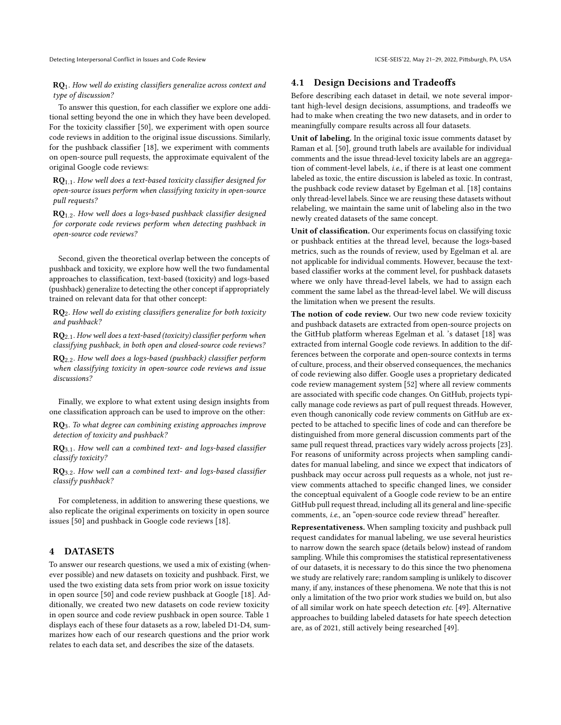Detecting Interpersonal Conflict in Issues and Code Review **ICSE-SEIS'22, May 21-29, 2022, Pittsburgh, PA, USA** 

RQ1. How well do existing classifiers generalize across context and type of discussion?

To answer this question, for each classifier we explore one additional setting beyond the one in which they have been developed. For the toxicity classifier [\[50\]](#page-12-1), we experiment with open source code reviews in addition to the original issue discussions. Similarly, for the pushback classifier [\[18\]](#page-11-12), we experiment with comments on open-source pull requests, the approximate equivalent of the original Google code reviews:

 $RQ_{1.1}$ . How well does a text-based toxicity classifier designed for open-source issues perform when classifying toxicity in open-source pull requests?

 $RQ_{1,2}$ . How well does a logs-based pushback classifier designed for corporate code reviews perform when detecting pushback in open-source code reviews?

Second, given the theoretical overlap between the concepts of pushback and toxicity, we explore how well the two fundamental approaches to classification, text-based (toxicity) and logs-based (pushback) generalize to detecting the other concept if appropriately trained on relevant data for that other concept:

 $RQ<sub>2</sub>$ . How well do existing classifiers generalize for both toxicity and pushback?

 $RQ_{2.1}$ . How well does a text-based (toxicity) classifier perform when classifying pushback, in both open and closed-source code reviews?

RQ2.2. How well does a logs-based (pushback) classifier perform when classifying toxicity in open-source code reviews and issue discussions?

Finally, we explore to what extent using design insights from one classification approach can be used to improve on the other:

RQ3. To what degree can combining existing approaches improve detection of toxicity and pushback?

 $RQ_{3.1}$ . How well can a combined text- and logs-based classifier classify toxicity?

 $RQ<sub>3.2</sub>$ . How well can a combined text- and logs-based classifier classify pushback?

For completeness, in addition to answering these questions, we also replicate the original experiments on toxicity in open source issues [\[50\]](#page-12-1) and pushback in Google code reviews [\[18\]](#page-11-12).

# <span id="page-2-0"></span>4 DATASETS

To answer our research questions, we used a mix of existing (whenever possible) and new datasets on toxicity and pushback. First, we used the two existing data sets from prior work on issue toxicity in open source [\[50\]](#page-12-1) and code review pushback at Google [\[18\]](#page-11-12). Additionally, we created two new datasets on code review toxicity in open source and code review pushback in open source. Table [1](#page-3-0) displays each of these four datasets as a row, labeled D1-D4, summarizes how each of our research questions and the prior work relates to each data set, and describes the size of the datasets.

#### 4.1 Design Decisions and Tradeoffs

Before describing each dataset in detail, we note several important high-level design decisions, assumptions, and tradeoffs we had to make when creating the two new datasets, and in order to meaningfully compare results across all four datasets.

Unit of labeling. In the original toxic issue comments dataset by Raman et al. [\[50\]](#page-12-1), ground truth labels are available for individual comments and the issue thread-level toxicity labels are an aggregation of comment-level labels, i.e., if there is at least one comment labeled as toxic, the entire discussion is labeled as toxic. In contrast, the pushback code review dataset by Egelman et al. [\[18\]](#page-11-12) contains only thread-level labels. Since we are reusing these datasets without relabeling, we maintain the same unit of labeling also in the two newly created datasets of the same concept.

Unit of classification. Our experiments focus on classifying toxic or pushback entities at the thread level, because the logs-based metrics, such as the rounds of review, used by Egelman et al. are not applicable for individual comments. However, because the textbased classifier works at the comment level, for pushback datasets where we only have thread-level labels, we had to assign each comment the same label as the thread-level label. We will discuss the limitation when we present the results.

The notion of code review. Our two new code review toxicity and pushback datasets are extracted from open-source projects on the GitHub platform whereas Egelman et al. 's dataset [\[18\]](#page-11-12) was extracted from internal Google code reviews. In addition to the differences between the corporate and open-source contexts in terms of culture, process, and their observed consequences, the mechanics of code reviewing also differ. Google uses a proprietary dedicated code review management system [\[52\]](#page-12-17) where all review comments are associated with specific code changes. On GitHub, projects typically manage code reviews as part of pull request threads. However, even though canonically code review comments on GitHub are expected to be attached to specific lines of code and can therefore be distinguished from more general discussion comments part of the same pull request thread, practices vary widely across projects [\[23\]](#page-11-35). For reasons of uniformity across projects when sampling candidates for manual labeling, and since we expect that indicators of pushback may occur across pull requests as a whole, not just review comments attached to specific changed lines, we consider the conceptual equivalent of a Google code review to be an entire GitHub pull request thread, including all its general and line-specific comments, i.e., an "open-source code review thread" hereafter.

Representativeness. When sampling toxicity and pushback pull request candidates for manual labeling, we use several heuristics to narrow down the search space (details below) instead of random sampling. While this compromises the statistical representativeness of our datasets, it is necessary to do this since the two phenomena we study are relatively rare; random sampling is unlikely to discover many, if any, instances of these phenomena. We note that this is not only a limitation of the two prior work studies we build on, but also of all similar work on hate speech detection etc. [\[49\]](#page-12-18). Alternative approaches to building labeled datasets for hate speech detection are, as of 2021, still actively being researched [\[49\]](#page-12-18).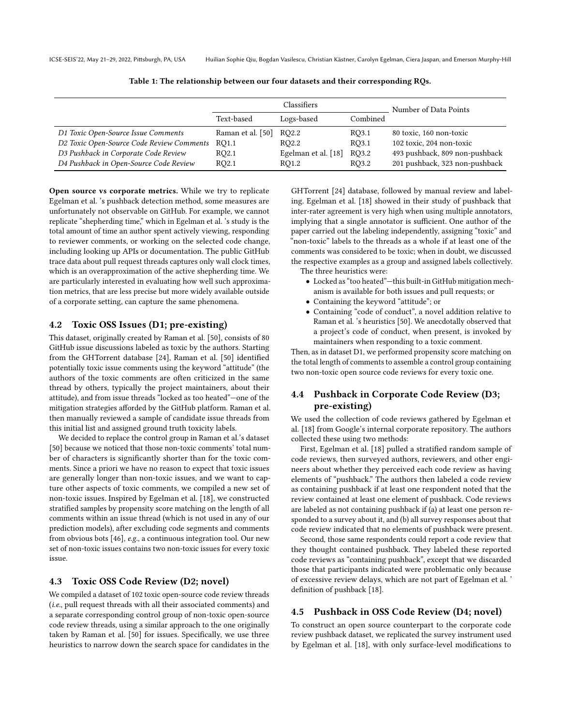<span id="page-3-0"></span>

ICSE-SEIS'22, May 21–29, 2022, Pittsburgh, PA, USA Huilian Sophie Qiu, Bogdan Vasilescu, Christian Kästner, Carolyn Egelman, Ciera Jaspan, and Emerson Murphy-Hill

|                                           | Classifiers       |                     |          | Number of Data Points          |  |
|-------------------------------------------|-------------------|---------------------|----------|--------------------------------|--|
|                                           | Text-based        | Logs-based          | Combined |                                |  |
| D1 Toxic Open-Source Issue Comments       | Raman et al. [50] | RO2.2               | RO3.1    | 80 toxic, 160 non-toxic        |  |
| D2 Toxic Open-Source Code Review Comments | RO1.1             | RO2.2               | RO3.1    | 102 toxic, 204 non-toxic       |  |
| D3 Pushback in Corporate Code Review      | RQ2.1             | Egelman et al. [18] | RO3.2    | 493 pushback, 809 non-pushback |  |
| D4 Pushback in Open-Source Code Review    | RQ2.1             | RO1.2               | RO3.2    | 201 pushback, 323 non-pushback |  |

Table 1: The relationship between our four datasets and their corresponding RQs.

Open source vs corporate metrics. While we try to replicate Egelman et al. 's pushback detection method, some measures are unfortunately not observable on GitHub. For example, we cannot replicate "shepherding time," which in Egelman et al. 's study is the total amount of time an author spent actively viewing, responding to reviewer comments, or working on the selected code change, including looking up APIs or documentation. The public GitHub trace data about pull request threads captures only wall clock times, which is an overapproximation of the active shepherding time. We are particularly interested in evaluating how well such approximation metrics, that are less precise but more widely available outside of a corporate setting, can capture the same phenomena.

# 4.2 Toxic OSS Issues (D1; pre-existing)

This dataset, originally created by Raman et al. [\[50\]](#page-12-1), consists of 80 GitHub issue discussions labeled as toxic by the authors. Starting from the GHTorrent database [\[24\]](#page-11-36), Raman et al. [\[50\]](#page-12-1) identified potentially toxic issue comments using the keyword "attitude" (the authors of the toxic comments are often criticized in the same thread by others, typically the project maintainers, about their attitude), and from issue threads "locked as too heated"—one of the mitigation strategies afforded by the GitHub platform. Raman et al. then manually reviewed a sample of candidate issue threads from this initial list and assigned ground truth toxicity labels.

We decided to replace the control group in Raman et al.'s dataset [\[50\]](#page-12-1) because we noticed that those non-toxic comments' total number of characters is significantly shorter than for the toxic comments. Since a priori we have no reason to expect that toxic issues are generally longer than non-toxic issues, and we want to capture other aspects of toxic comments, we compiled a new set of non-toxic issues. Inspired by Egelman et al. [\[18\]](#page-11-12), we constructed stratified samples by propensity score matching on the length of all comments within an issue thread (which is not used in any of our prediction models), after excluding code segments and comments from obvious bots [\[46\]](#page-12-10), e.g., a continuous integration tool. Our new set of non-toxic issues contains two non-toxic issues for every toxic issue.

# 4.3 Toxic OSS Code Review (D2; novel)

We compiled a dataset of 102 toxic open-source code review threads (i.e., pull request threads with all their associated comments) and a separate corresponding control group of non-toxic open-source code review threads, using a similar approach to the one originally taken by Raman et al. [\[50\]](#page-12-1) for issues. Specifically, we use three heuristics to narrow down the search space for candidates in the

GHTorrent [\[24\]](#page-11-36) database, followed by manual review and labeling. Egelman et al. [\[18\]](#page-11-12) showed in their study of pushback that inter-rater agreement is very high when using multiple annotators, implying that a single annotator is sufficient. One author of the paper carried out the labeling independently, assigning "toxic" and "non-toxic" labels to the threads as a whole if at least one of the comments was considered to be toxic; when in doubt, we discussed the respective examples as a group and assigned labels collectively. The three heuristics were:

- Locked as "too heated"—this built-in GitHub mitigation mechanism is available for both issues and pull requests; or
- Containing the keyword "attitude"; or
- Containing "code of conduct", a novel addition relative to Raman et al. 's heuristics [\[50\]](#page-12-1). We anecdotally observed that a project's code of conduct, when present, is invoked by maintainers when responding to a toxic comment.

Then, as in dataset D1, we performed propensity score matching on the total length of comments to assemble a control group containing two non-toxic open source code reviews for every toxic one.

# 4.4 Pushback in Corporate Code Review (D3; pre-existing)

We used the collection of code reviews gathered by Egelman et al. [\[18\]](#page-11-12) from Google's internal corporate repository. The authors collected these using two methods:

First, Egelman et al. [\[18\]](#page-11-12) pulled a stratified random sample of code reviews, then surveyed authors, reviewers, and other engineers about whether they perceived each code review as having elements of "pushback." The authors then labeled a code review as containing pushback if at least one respondent noted that the review contained at least one element of pushback. Code reviews are labeled as not containing pushback if (a) at least one person responded to a survey about it, and (b) all survey responses about that code review indicated that no elements of pushback were present.

Second, those same respondents could report a code review that they thought contained pushback. They labeled these reported code reviews as "containing pushback", except that we discarded those that participants indicated were problematic only because of excessive review delays, which are not part of Egelman et al. ' definition of pushback [\[18\]](#page-11-12).

### 4.5 Pushback in OSS Code Review (D4; novel)

To construct an open source counterpart to the corporate code review pushback dataset, we replicated the survey instrument used by Egelman et al. [\[18\]](#page-11-12), with only surface-level modifications to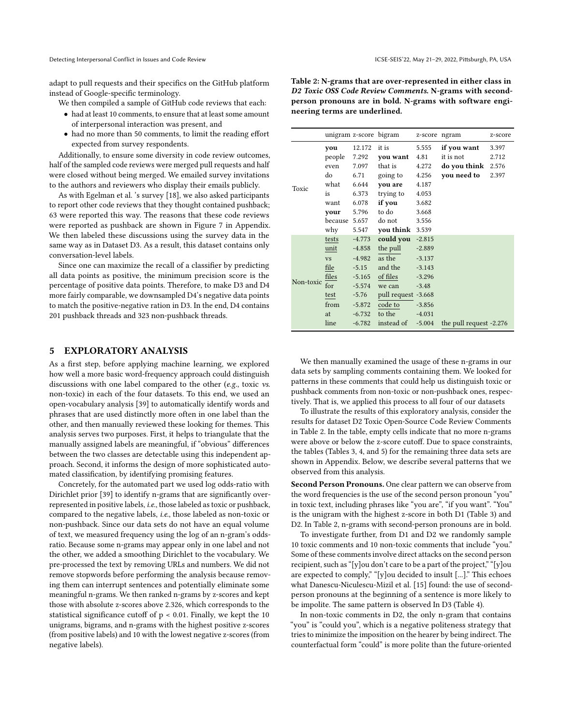adapt to pull requests and their specifics on the GitHub platform instead of Google-specific terminology.

We then compiled a sample of GitHub code reviews that each:

- had at least 10 comments, to ensure that at least some amount of interpersonal interaction was present, and
- had no more than 50 comments, to limit the reading effort expected from survey respondents.

Additionally, to ensure some diversity in code review outcomes, half of the sampled code reviews were merged pull requests and half were closed without being merged. We emailed survey invitations to the authors and reviewers who display their emails publicly.

As with Egelman et al. 's survey [\[18\]](#page-11-12), we also asked participants to report other code reviews that they thought contained pushback; 63 were reported this way. The reasons that these code reviews were reported as pushback are shown in Figure [7](#page-14-0) in Appendix. We then labeled these discussions using the survey data in the same way as in Dataset D3. As a result, this dataset contains only conversation-level labels.

Since one can maximize the recall of a classifier by predicting all data points as positive, the minimum precision score is the percentage of positive data points. Therefore, to make D3 and D4 more fairly comparable, we downsampled D4's negative data points to match the positive-negative ration in D3. In the end, D4 contains 201 pushback threads and 323 non-pushback threads.

#### <span id="page-4-0"></span>5 EXPLORATORY ANALYSIS

As a first step, before applying machine learning, we explored how well a more basic word-frequency approach could distinguish discussions with one label compared to the other (e.g., toxic vs. non-toxic) in each of the four datasets. To this end, we used an open-vocabulary analysis [\[39\]](#page-11-24) to automatically identify words and phrases that are used distinctly more often in one label than the other, and then manually reviewed these looking for themes. This analysis serves two purposes. First, it helps to triangulate that the manually assigned labels are meaningful, if "obvious" differences between the two classes are detectable using this independent approach. Second, it informs the design of more sophisticated automated classification, by identifying promising features.

Concretely, for the automated part we used log odds-ratio with Dirichlet prior [\[39\]](#page-11-24) to identify n-grams that are significantly overrepresented in positive labels, i.e., those labeled as toxic or pushback, compared to the negative labels, i.e., those labeled as non-toxic or non-pushback. Since our data sets do not have an equal volume of text, we measured frequency using the log of an n-gram's oddsratio. Because some n-grams may appear only in one label and not the other, we added a smoothing Dirichlet to the vocabulary. We pre-processed the text by removing URLs and numbers. We did not remove stopwords before performing the analysis because removing them can interrupt sentences and potentially eliminate some meaningful n-grams. We then ranked n-grams by z-scores and kept those with absolute z-scores above 2.326, which corresponds to the statistical significance cutoff of p < 0.01. Finally, we kept the 10 unigrams, bigrams, and n-grams with the highest positive z-scores (from positive labels) and 10 with the lowest negative z-scores (from negative labels).

<span id="page-4-1"></span>Table 2: N-grams that are over-represented in either class in D2 Toxic OSS Code Review Comments. N-grams with secondperson pronouns are in bold. N-grams with software engineering terms are underlined.

|           | unigram z-score bigram |          |                     | z-score ngram |                         | z-score |
|-----------|------------------------|----------|---------------------|---------------|-------------------------|---------|
|           | vou                    | 12.172   | it is               | 5.555         | if you want             | 3.397   |
|           | people                 | 7.292    | you want            | 4.81          | it is not               | 2.712   |
|           | even                   | 7.097    | that is             | 4.272         | do you think            | 2.576   |
|           | do                     | 6.71     | going to            | 4.256         | you need to             | 2.397   |
| Toxic     | what                   | 6.644    | you are             | 4.187         |                         |         |
|           | is                     | 6.373    | trying to           | 4.053         |                         |         |
|           | want                   | 6.078    | if you              | 3.682         |                         |         |
|           | vour                   | 5.796    | to do               | 3.668         |                         |         |
|           | because                | 5.657    | do not              | 3.556         |                         |         |
|           | why                    | 5.547    | you think           | 3.539         |                         |         |
|           | tests                  | $-4.773$ | could you           | $-2.815$      |                         |         |
|           | unit                   | $-4.858$ | the pull            | $-2.889$      |                         |         |
|           | <b>VS</b>              | $-4.982$ | as the              | $-3.137$      |                         |         |
|           | file                   | $-5.15$  | and the             | $-3.143$      |                         |         |
|           | files                  | $-5.165$ | of files            | $-3.296$      |                         |         |
| Non-toxic | for                    | $-5.574$ | we can              | $-3.48$       |                         |         |
|           | test                   | $-5.76$  | pull request -3.668 |               |                         |         |
|           | from                   | $-5.872$ | code to             | $-3.856$      |                         |         |
|           | at                     | $-6.732$ | to the              | $-4.031$      |                         |         |
|           | line                   | $-6.782$ | instead of          | $-5.004$      | the pull request -2.276 |         |

We then manually examined the usage of these n-grams in our data sets by sampling comments containing them. We looked for patterns in these comments that could help us distinguish toxic or pushback comments from non-toxic or non-pushback ones, respectively. That is, we applied this process to all four of our datasets

To illustrate the results of this exploratory analysis, consider the results for dataset D2 Toxic Open-Source Code Review Comments in Table [2.](#page-4-1) In the table, empty cells indicate that no more n-grams were above or below the z-score cutoff. Due to space constraints, the tables (Tables [3,](#page-13-0) [4,](#page-13-1) and [5\)](#page-13-2) for the remaining three data sets are shown in Appendix. Below, we describe several patterns that we observed from this analysis.

Second Person Pronouns. One clear pattern we can observe from the word frequencies is the use of the second person pronoun "you" in toxic text, including phrases like "you are", "if you want". "You" is the unigram with the highest z-score in both D1 (Table [3\)](#page-13-0) and D2. In Table [2,](#page-4-1) n-grams with second-person pronouns are in bold.

To investigate further, from D1 and D2 we randomly sample 10 toxic comments and 10 non-toxic comments that include "you." Some of these comments involve direct attacks on the second person recipient, such as "[y]ou don't care to be a part of the project," "[y]ou are expected to comply," "[y]ou decided to insult [...]." This echoes what Danescu-Niculescu-Mizil et al. [\[15\]](#page-11-22) found: the use of secondperson pronouns at the beginning of a sentence is more likely to be impolite. The same pattern is observed In D3 (Table [4\)](#page-13-1).

In non-toxic comments in D2, the only n-gram that contains "you" is "could you", which is a negative politeness strategy that tries to minimize the imposition on the hearer by being indirect. The counterfactual form "could" is more polite than the future-oriented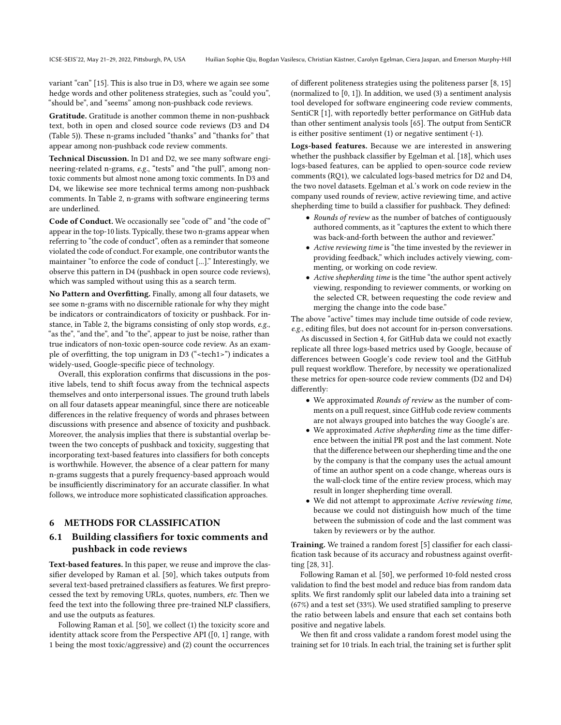variant "can" [\[15\]](#page-11-22). This is also true in D3, where we again see some hedge words and other politeness strategies, such as "could you", "should be", and "seems" among non-pushback code reviews.

Gratitude. Gratitude is another common theme in non-pushback text, both in open and closed source code reviews (D3 and D4 (Table [5\)](#page-13-2)). These n-grams included "thanks" and "thanks for" that appear among non-pushback code review comments.

Technical Discussion. In D1 and D2, we see many software engineering-related n-grams, e.g., "tests" and "the pull", among nontoxic comments but almost none among toxic comments. In D3 and D4, we likewise see more technical terms among non-pushback comments. In Table [2,](#page-4-1) n-grams with software engineering terms are underlined.

Code of Conduct. We occasionally see "code of" and "the code of" appear in the top-10 lists. Typically, these two n-grams appear when referring to "the code of conduct", often as a reminder that someone violated the code of conduct. For example, one contributor wants the maintainer "to enforce the code of conduct [...]." Interestingly, we observe this pattern in D4 (pushback in open source code reviews), which was sampled without using this as a search term.

No Pattern and Overfitting. Finally, among all four datasets, we see some n-grams with no discernible rationale for why they might be indicators or contraindicators of toxicity or pushback. For instance, in Table [2,](#page-4-1) the bigrams consisting of only stop words, e.g., "as the", "and the", and "to the", appear to just be noise, rather than true indicators of non-toxic open-source code review. As an example of overfitting, the top unigram in D3 ("<tech1>") indicates a widely-used, Google-specific piece of technology.

Overall, this exploration confirms that discussions in the positive labels, tend to shift focus away from the technical aspects themselves and onto interpersonal issues. The ground truth labels on all four datasets appear meaningful, since there are noticeable differences in the relative frequency of words and phrases between discussions with presence and absence of toxicity and pushback. Moreover, the analysis implies that there is substantial overlap between the two concepts of pushback and toxicity, suggesting that incorporating text-based features into classifiers for both concepts is worthwhile. However, the absence of a clear pattern for many n-grams suggests that a purely frequency-based approach would be insufficiently discriminatory for an accurate classifier. In what follows, we introduce more sophisticated classification approaches.

### 6 METHODS FOR CLASSIFICATION

# 6.1 Building classifiers for toxic comments and pushback in code reviews

Text-based features. In this paper, we reuse and improve the classifier developed by Raman et al. [\[50\]](#page-12-1), which takes outputs from several text-based pretrained classifiers as features. We first preprocessed the text by removing URLs, quotes, numbers, etc. Then we feed the text into the following three pre-trained NLP classifiers, and use the outputs as features.

Following Raman et al. [\[50\]](#page-12-1), we collect (1) the toxicity score and identity attack score from the Perspective API ([0, 1] range, with 1 being the most toxic/aggressive) and (2) count the occurrences of different politeness strategies using the politeness parser [\[8,](#page-11-28) [15\]](#page-11-22) (normalized to [0, 1]). In addition, we used (3) a sentiment analysis tool developed for software engineering code review comments, SentiCR [\[1\]](#page-11-33), with reportedly better performance on GitHub data than other sentiment analysis tools [\[65\]](#page-12-16). The output from SentiCR is either positive sentiment (1) or negative sentiment (-1).

Logs-based features. Because we are interested in answering whether the pushback classifier by Egelman et al. [\[18\]](#page-11-12), which uses logs-based features, can be applied to open-source code review comments (RQ1), we calculated logs-based metrics for D2 and D4, the two novel datasets. Egelman et al.'s work on code review in the company used rounds of review, active reviewing time, and active shepherding time to build a classifier for pushback. They defined:

- Rounds of review as the number of batches of contiguously authored comments, as it "captures the extent to which there was back-and-forth between the author and reviewer."
- Active reviewing time is "the time invested by the reviewer in providing feedback," which includes actively viewing, commenting, or working on code review.
- Active shepherding time is the time "the author spent actively viewing, responding to reviewer comments, or working on the selected CR, between requesting the code review and merging the change into the code base."

The above "active" times may include time outside of code review, e.g., editing files, but does not account for in-person conversations.

As discussed in Section [4,](#page-2-0) for GitHub data we could not exactly replicate all three logs-based metrics used by Google, because of differences between Google's code review tool and the GitHub pull request workflow. Therefore, by necessity we operationalized these metrics for open-source code review comments (D2 and D4) differently:

- We approximated Rounds of review as the number of comments on a pull request, since GitHub code review comments are not always grouped into batches the way Google's are.
- We approximated Active shepherding time as the time difference between the initial PR post and the last comment. Note that the difference between our shepherding time and the one by the company is that the company uses the actual amount of time an author spent on a code change, whereas ours is the wall-clock time of the entire review process, which may result in longer shepherding time overall.
- We did not attempt to approximate Active reviewing time, because we could not distinguish how much of the time between the submission of code and the last comment was taken by reviewers or by the author.

Training. We trained a random forest [\[5\]](#page-11-37) classifier for each classification task because of its accuracy and robustness against overfitting [\[28,](#page-11-38) [31\]](#page-11-39).

Following Raman et al. [\[50\]](#page-12-1), we performed 10-fold nested cross validation to find the best model and reduce bias from random data splits. We first randomly split our labeled data into a training set (67%) and a test set (33%). We used stratified sampling to preserve the ratio between labels and ensure that each set contains both positive and negative labels.

We then fit and cross validate a random forest model using the training set for 10 trials. In each trial, the training set is further split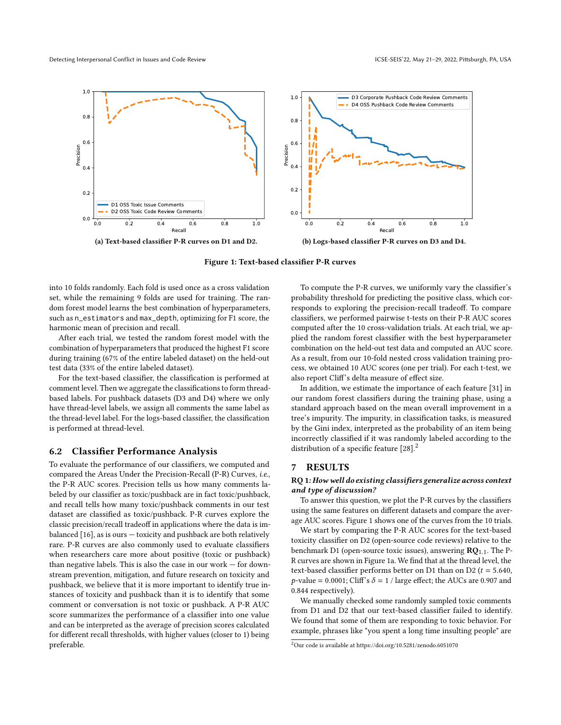<span id="page-6-1"></span>

Figure 1: Text-based classifier P-R curves

into 10 folds randomly. Each fold is used once as a cross validation set, while the remaining 9 folds are used for training. The random forest model learns the best combination of hyperparameters, such as n\_estimators and max\_depth, optimizing for F1 score, the harmonic mean of precision and recall.

After each trial, we tested the random forest model with the combination of hyperparameters that produced the highest F1 score during training (67% of the entire labeled dataset) on the held-out test data (33% of the entire labeled dataset).

For the text-based classifier, the classification is performed at comment level. Then we aggregate the classifications to form threadbased labels. For pushback datasets (D3 and D4) where we only have thread-level labels, we assign all comments the same label as the thread-level label. For the logs-based classifier, the classification is performed at thread-level.

#### 6.2 Classifier Performance Analysis

To evaluate the performance of our classifiers, we computed and compared the Areas Under the Precision-Recall (P-R) Curves, i.e., the P-R AUC scores. Precision tells us how many comments labeled by our classifier as toxic/pushback are in fact toxic/pushback, and recall tells how many toxic/pushback comments in our test dataset are classified as toxic/pushback. P-R curves explore the classic precision/recall tradeoff in applications where the data is imbalanced [\[16\]](#page-11-40), as is ours — toxicity and pushback are both relatively rare. P-R curves are also commonly used to evaluate classifiers when researchers care more about positive (toxic or pushback) than negative labels. This is also the case in our work  $-$  for downstream prevention, mitigation, and future research on toxicity and pushback, we believe that it is more important to identify true instances of toxicity and pushback than it is to identify that some comment or conversation is not toxic or pushback. A P-R AUC score summarizes the performance of a classifier into one value and can be interpreted as the average of precision scores calculated for different recall thresholds, with higher values (closer to 1) being preferable.

To compute the P-R curves, we uniformly vary the classifier's probability threshold for predicting the positive class, which corresponds to exploring the precision-recall tradeoff. To compare classifiers, we performed pairwise t-tests on their P-R AUC scores computed after the 10 cross-validation trials. At each trial, we applied the random forest classifier with the best hyperparameter combination on the held-out test data and computed an AUC score. As a result, from our 10-fold nested cross validation training process, we obtained 10 AUC scores (one per trial). For each t-test, we also report Cliff's delta measure of effect size.

In addition, we estimate the importance of each feature [\[31\]](#page-11-39) in our random forest classifiers during the training phase, using a standard approach based on the mean overall improvement in a tree's impurity. The impurity, in classification tasks, is measured by the Gini index, interpreted as the probability of an item being incorrectly classified if it was randomly labeled according to the distribution of a specific feature [\[28\]](#page-11-38).<sup>[2](#page-6-0)</sup>

# 7 RESULTS

#### RQ [1](#page-1-1): How well do existing classifiers generalize across context and type of discussion?

To answer this question, we plot the P-R curves by the classifiers using the same features on different datasets and compare the average AUC scores. Figure [1](#page-6-1) shows one of the curves from the 10 trials.

We start by comparing the P-R AUC scores for the text-based toxicity classifier on D2 (open-source code reviews) relative to the benchmark D1 (open-source toxic issues), answering  $\mathbb{R}Q_{1,1}$ . The P-R curves are shown in Figure [1a.](#page-6-1) We find that at the thread level, the text-based classifier performs better on D1 than on D2 ( $t = 5.640$ ,  $p$ -value = 0.0001; Cliff's  $\delta$  = 1 / large effect; the AUCs are 0.907 and 0.844 respectively).

We manually checked some randomly sampled toxic comments from D1 and D2 that our text-based classifier failed to identify. We found that some of them are responding to toxic behavior. For example, phrases like "you spent a long time insulting people" are

<span id="page-6-0"></span><sup>2</sup>Our code is available at https://doi.org/10.5281/zenodo.6051070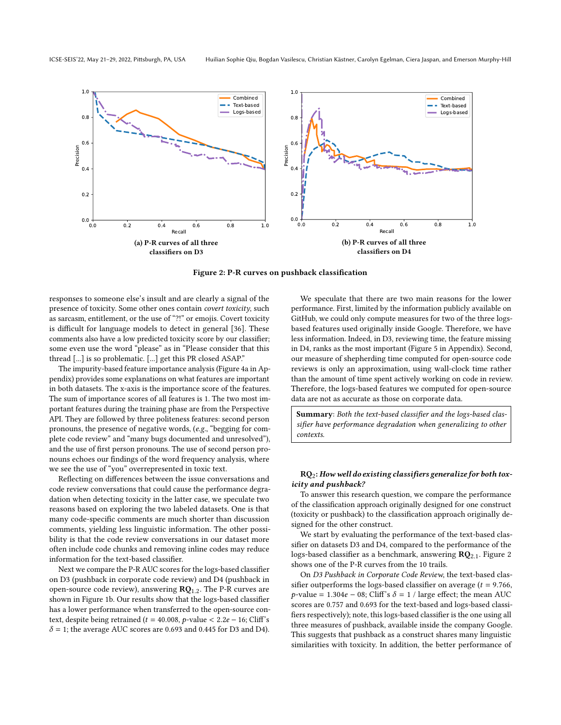<span id="page-7-0"></span>

Figure 2: P-R curves on pushback classification

responses to someone else's insult and are clearly a signal of the presence of toxicity. Some other ones contain covert toxicity, such as sarcasm, entitlement, or the use of "?!" or emojis. Covert toxicity is difficult for language models to detect in general [\[36\]](#page-11-41). These comments also have a low predicted toxicity score by our classifier; some even use the word "please" as in "Please consider that this thread [...] is so problematic. [...] get this PR closed ASAP."

The impurity-based feature importance analysis (Figure [4a](#page-14-1) in Appendix) provides some explanations on what features are important in both datasets. The x-axis is the importance score of the features. The sum of importance scores of all features is 1. The two most important features during the training phase are from the Perspective API. They are followed by three politeness features: second person pronouns, the presence of negative words, (e.g., "begging for complete code review" and "many bugs documented and unresolved"), and the use of first person pronouns. The use of second person pronouns echoes our findings of the word frequency analysis, where we see the use of "you" overrepresented in toxic text.

Reflecting on differences between the issue conversations and code review conversations that could cause the performance degradation when detecting toxicity in the latter case, we speculate two reasons based on exploring the two labeled datasets. One is that many code-specific comments are much shorter than discussion comments, yielding less linguistic information. The other possibility is that the code review conversations in our dataset more often include code chunks and removing inline codes may reduce information for the text-based classifier.

Next we compare the P-R AUC scores for the logs-based classifier on D3 (pushback in corporate code review) and D4 (pushback in open-source code review), answering  $RQ_{1,2}$ . The P-R curves are shown in Figure [1b.](#page-6-1) Our results show that the logs-based classifier has a lower performance when transferred to the open-source context, despite being retrained ( $t = 40.008$ ,  $p$ -value <  $2.2e - 16$ ; Cliff's  $\delta$  = 1; the average AUC scores are 0.693 and 0.445 for D3 and D4).

We speculate that there are two main reasons for the lower performance. First, limited by the information publicly available on GitHub, we could only compute measures for two of the three logsbased features used originally inside Google. Therefore, we have less information. Indeed, in D3, reviewing time, the feature missing in D4, ranks as the most important (Figure [5](#page-14-2) in Appendix). Second, our measure of shepherding time computed for open-source code reviews is only an approximation, using wall-clock time rather than the amount of time spent actively working on code in review. Therefore, the logs-based features we computed for open-source data are not as accurate as those on corporate data.

Summary: Both the text-based classifier and the logs-based classifier have performance degradation when generalizing to other contexts.

#### $RQ_2$ : How well do existing classifiers generalize for both toxicity and pushback?

To answer this research question, we compare the performance of the classification approach originally designed for one construct (toxicity or pushback) to the classification approach originally designed for the other construct.

We start by evaluating the performance of the text-based classifier on datasets D3 and D4, compared to the performance of the logs-based classifier as a benchmark, answering  $\mathbb{R}Q_{2,1}$ . Figure [2](#page-7-0) shows one of the P-R curves from the 10 trails.

On D3 Pushback in Corporate Code Review, the text-based classifier outperforms the logs-based classifier on average  $(t = 9.766,$  $p$ -value = 1.304e – 08; Cliff's  $\delta$  = 1 / large effect; the mean AUC scores are 0.757 and 0.693 for the text-based and logs-based classifiers respectively); note, this logs-based classifier is the one using all three measures of pushback, available inside the company Google. This suggests that pushback as a construct shares many linguistic similarities with toxicity. In addition, the better performance of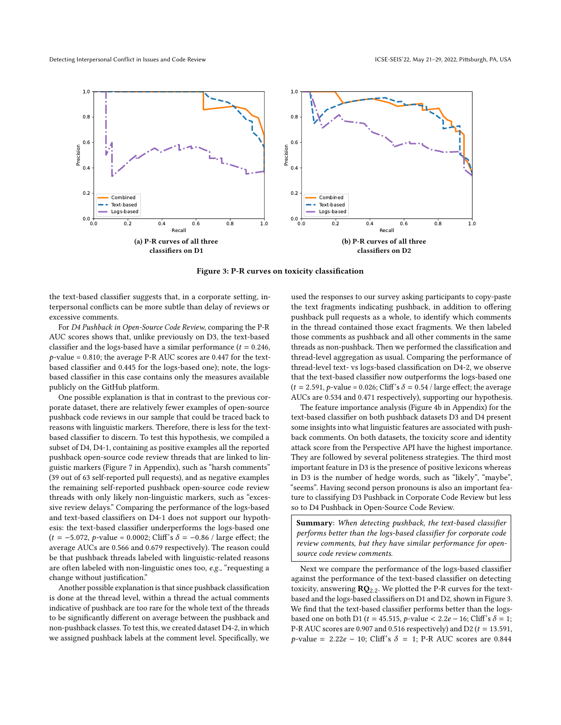<span id="page-8-0"></span>

Figure 3: P-R curves on toxicity classification

the text-based classifier suggests that, in a corporate setting, interpersonal conflicts can be more subtle than delay of reviews or excessive comments.

For D4 Pushback in Open-Source Code Review, comparing the P-R AUC scores shows that, unlike previously on D3, the text-based classifier and the logs-based have a similar performance ( $t = 0.246$ ,  $p$ -value = 0.810; the average P-R AUC scores are 0.447 for the textbased classifier and 0.445 for the logs-based one); note, the logsbased classifier in this case contains only the measures available publicly on the GitHub platform.

One possible explanation is that in contrast to the previous corporate dataset, there are relatively fewer examples of open-source pushback code reviews in our sample that could be traced back to reasons with linguistic markers. Therefore, there is less for the textbased classifier to discern. To test this hypothesis, we compiled a subset of D4, D4-1, containing as positive examples all the reported pushback open-source code review threads that are linked to linguistic markers (Figure [7](#page-14-0) in Appendix), such as "harsh comments" (39 out of 63 self-reported pull requests), and as negative examples the remaining self-reported pushback open-source code review threads with only likely non-linguistic markers, such as "excessive review delays." Comparing the performance of the logs-based and text-based classifiers on D4-1 does not support our hypothesis: the text-based classifier underperforms the logs-based one  $(t = -5.072, p-value = 0.0002; Cliff's \delta = -0.86 / large effect; the$ average AUCs are 0.566 and 0.679 respectively). The reason could be that pushback threads labeled with linguistic-related reasons are often labeled with non-linguistic ones too, e.g., "requesting a change without justification."

Another possible explanation is that since pushback classification is done at the thread level, within a thread the actual comments indicative of pushback are too rare for the whole text of the threads to be significantly different on average between the pushback and non-pushback classes. To test this, we created dataset D4-2, in which we assigned pushback labels at the comment level. Specifically, we used the responses to our survey asking participants to copy-paste the text fragments indicating pushback, in addition to offering pushback pull requests as a whole, to identify which comments in the thread contained those exact fragments. We then labeled those comments as pushback and all other comments in the same threads as non-pushback. Then we performed the classification and thread-level aggregation as usual. Comparing the performance of thread-level text- vs logs-based classification on D4-2, we observe that the text-based classifier now outperforms the logs-based one  $(t = 2.591, p-value = 0.026; Cliff's \delta = 0.54 / large effect; the average$ AUCs are 0.534 and 0.471 respectively), supporting our hypothesis.

The feature importance analysis (Figure [4b](#page-14-1) in Appendix) for the text-based classifier on both pushback datasets D3 and D4 present some insights into what linguistic features are associated with pushback comments. On both datasets, the toxicity score and identity attack score from the Perspective API have the highest importance. They are followed by several politeness strategies. The third most important feature in D3 is the presence of positive lexicons whereas in D3 is the number of hedge words, such as "likely", "maybe", "seems". Having second person pronouns is also an important feature to classifying D3 Pushback in Corporate Code Review but less so to D4 Pushback in Open-Source Code Review.

Summary: When detecting pushback, the text-based classifier performs better than the logs-based classifier for corporate code review comments, but they have similar performance for opensource code review comments.

Next we compare the performance of the logs-based classifier against the performance of the text-based classifier on detecting toxicity, answering  $RQ_{2.2}$ . We plotted the P-R curves for the textbased and the logs-based classifiers on D1 and D2, shown in Figure [3.](#page-8-0) We find that the text-based classifier performs better than the logsbased one on both D1 ( $t = 45.515$ ,  $p$ -value < 2.2 $e - 16$ ; Cliff's  $\delta = 1$ ; P-R AUC scores are 0.907 and 0.516 respectively) and  $D2(t = 13.591,$  $p$ -value = 2.22e – 10; Cliff's  $\delta$  = 1; P-R AUC scores are 0.844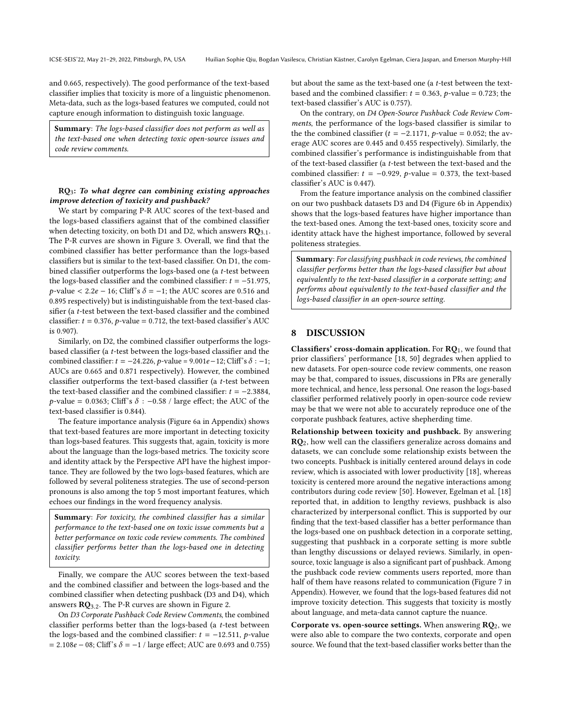and 0.665, respectively). The good performance of the text-based classifier implies that toxicity is more of a linguistic phenomenon. Meta-data, such as the logs-based features we computed, could not capture enough information to distinguish toxic language.

Summary: The logs-based classifier does not perform as well as the text-based one when detecting toxic open-source issues and code review comments.

### RQ3: To what degree can combining existing approaches improve detection of toxicity and pushback?

We start by comparing P-R AUC scores of the text-based and the logs-based classifiers against that of the combined classifier when detecting toxicity, on both D1 and D2, which answers  $\mathbf{RQ}_{3.1}$ . The P-R curves are shown in Figure [3.](#page-8-0) Overall, we find that the combined classifier has better performance than the logs-based classifiers but is similar to the text-based classifier. On D1, the combined classifier outperforms the logs-based one (a t-test between the logs-based classifier and the combined classifier:  $t = -51.975$ ,  $p$ -value < 2.2e – 16; Cliff's  $\delta$  = –1; the AUC scores are 0.516 and 0.895 respectively) but is indistinguishable from the text-based classifier (a t-test between the text-based classifier and the combined classifier:  $t = 0.376$ , p-value = 0.712, the text-based classifier's AUC is 0.907).

Similarly, on D2, the combined classifier outperforms the logsbased classifier (a t-test between the logs-based classifier and the combined classifier:  $t = -24.226$ ,  $p$ -value = 9.001 $e - 12$ ; Cliff's  $\delta$  : -1; AUCs are 0.665 and 0.871 respectively). However, the combined classifier outperforms the text-based classifier (a t-test between the text-based classifier and the combined classifier:  $t = -2.3884$ ,  $p$ -value = 0.0363; Cliff's  $\delta$  : -0.58 / large effect; the AUC of the text-based classifier is 0.844).

The feature importance analysis (Figure [6a](#page-14-3) in Appendix) shows that text-based features are more important in detecting toxicity than logs-based features. This suggests that, again, toxicity is more about the language than the logs-based metrics. The toxicity score and identity attack by the Perspective API have the highest importance. They are followed by the two logs-based features, which are followed by several politeness strategies. The use of second-person pronouns is also among the top 5 most important features, which echoes our findings in the word frequency analysis.

Summary: For toxicity, the combined classifier has a similar performance to the text-based one on toxic issue comments but a better performance on toxic code review comments. The combined classifier performs better than the logs-based one in detecting toxicity.

Finally, we compare the AUC scores between the text-based and the combined classifier and between the logs-based and the combined classifier when detecting pushback (D3 and D4), which answers RQ3.2. The P-R curves are shown in Figure [2.](#page-7-0)

On D3 Corporate Pushback Code Review Comments, the combined classifier performs better than the logs-based (a t-test between the logs-based and the combined classifier:  $t = -12.511$ , p-value  $= 2.108e - 08$ ; Cliff's  $\delta = -1$  / large effect; AUC are 0.693 and 0.755) but about the same as the text-based one (a t-test between the textbased and the combined classifier:  $t = 0.363$ , p-value = 0.723; the text-based classifier's AUC is 0.757).

On the contrary, on D4 Open-Source Pushback Code Review Comments, the performance of the logs-based classifier is similar to the the combined classifier ( $t = -2.1171$ ,  $p$ -value = 0.052; the average AUC scores are 0.445 and 0.455 respectively). Similarly, the combined classifier's performance is indistinguishable from that of the text-based classifier (a t-test between the text-based and the combined classifier:  $t = -0.929$ ,  $p$ -value = 0.373, the text-based classifier's AUC is 0.447).

From the feature importance analysis on the combined classifier on our two pushback datasets D3 and D4 (Figure [6b](#page-14-3) in Appendix) shows that the logs-based features have higher importance than the text-based ones. Among the text-based ones, toxicity score and identity attack have the highest importance, followed by several politeness strategies.

Summary: For classifying pushback in code reviews, the combined classifier performs better than the logs-based classifier but about equivalently to the text-based classifier in a corporate setting; and performs about equivalently to the text-based classifier and the logs-based classifier in an open-source setting.

#### 8 DISCUSSION

Classifiers' cross-domain application. For  $RQ_1$ , we found that prior classifiers' performance [\[18,](#page-11-12) [50\]](#page-12-1) degrades when applied to new datasets. For open-source code review comments, one reason may be that, compared to issues, discussions in PRs are generally more technical, and hence, less personal. One reason the logs-based classifier performed relatively poorly in open-source code review may be that we were not able to accurately reproduce one of the corporate pushback features, active shepherding time.

Relationship between toxicity and pushback. By answering RQ2, how well can the classifiers generalize across domains and datasets, we can conclude some relationship exists between the two concepts. Pushback is initially centered around delays in code review, which is associated with lower productivity [\[18\]](#page-11-12), whereas toxicity is centered more around the negative interactions among contributors during code review [\[50\]](#page-12-1). However, Egelman et al. [\[18\]](#page-11-12) reported that, in addition to lengthy reviews, pushback is also characterized by interpersonal conflict. This is supported by our finding that the text-based classifier has a better performance than the logs-based one on pushback detection in a corporate setting, suggesting that pushback in a corporate setting is more subtle than lengthy discussions or delayed reviews. Similarly, in opensource, toxic language is also a significant part of pushback. Among the pushback code review comments users reported, more than half of them have reasons related to communication (Figure [7](#page-14-0) in Appendix). However, we found that the logs-based features did not improve toxicity detection. This suggests that toxicity is mostly about language, and meta-data cannot capture the nuance.

Corporate vs. open-source settings. When answering  $RQ_2$ , we were also able to compare the two contexts, corporate and open source. We found that the text-based classifier works better than the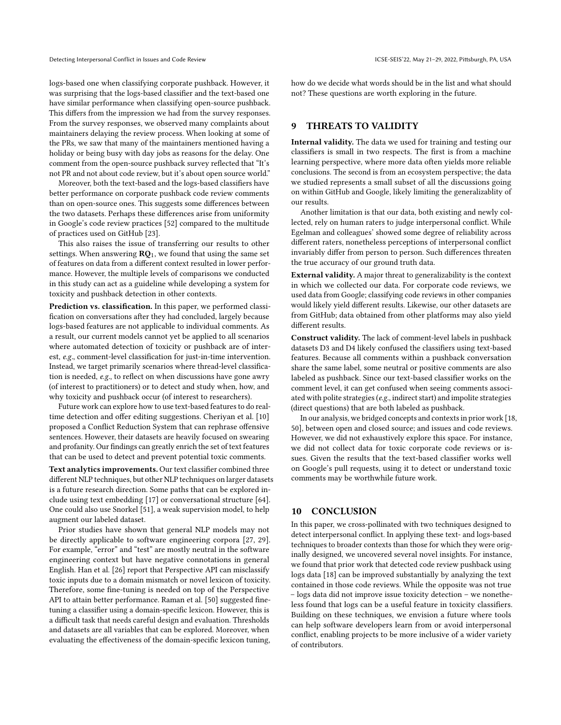logs-based one when classifying corporate pushback. However, it was surprising that the logs-based classifier and the text-based one have similar performance when classifying open-source pushback. This differs from the impression we had from the survey responses. From the survey responses, we observed many complaints about maintainers delaying the review process. When looking at some of the PRs, we saw that many of the maintainers mentioned having a holiday or being busy with day jobs as reasons for the delay. One comment from the open-source pushback survey reflected that "It's not PR and not about code review, but it's about open source world."

Moreover, both the text-based and the logs-based classifiers have better performance on corporate pushback code review comments than on open-source ones. This suggests some differences between the two datasets. Perhaps these differences arise from uniformity in Google's code review practices [\[52\]](#page-12-17) compared to the multitude of practices used on GitHub [\[23\]](#page-11-35).

This also raises the issue of transferring our results to other settings. When answering  $RO<sub>1</sub>$ , we found that using the same set of features on data from a different context resulted in lower performance. However, the multiple levels of comparisons we conducted in this study can act as a guideline while developing a system for toxicity and pushback detection in other contexts.

Prediction vs. classification. In this paper, we performed classification on conversations after they had concluded, largely because logs-based features are not applicable to individual comments. As a result, our current models cannot yet be applied to all scenarios where automated detection of toxicity or pushback are of interest, e.g., comment-level classification for just-in-time intervention. Instead, we target primarily scenarios where thread-level classification is needed, e.g., to reflect on when discussions have gone awry (of interest to practitioners) or to detect and study when, how, and why toxicity and pushback occur (of interest to researchers).

Future work can explore how to use text-based features to do realtime detection and offer editing suggestions. Cheriyan et al. [\[10\]](#page-11-20) proposed a Conflict Reduction System that can rephrase offensive sentences. However, their datasets are heavily focused on swearing and profanity. Our findings can greatly enrich the set of text features that can be used to detect and prevent potential toxic comments.

Text analytics improvements. Our text classifier combined three different NLP techniques, but other NLP techniques on larger datasets is a future research direction. Some paths that can be explored include using text embedding [\[17\]](#page-11-42) or conversational structure [\[64\]](#page-12-15). One could also use Snorkel [\[51\]](#page-12-19), a weak supervision model, to help augment our labeled dataset.

Prior studies have shown that general NLP models may not be directly applicable to software engineering corpora [\[27,](#page-11-43) [29\]](#page-11-32). For example, "error" and "test" are mostly neutral in the software engineering context but have negative connotations in general English. Han et al. [\[26\]](#page-11-44) report that Perspective API can misclassify toxic inputs due to a domain mismatch or novel lexicon of toxicity. Therefore, some fine-tuning is needed on top of the Perspective API to attain better performance. Raman et al. [\[50\]](#page-12-1) suggested finetuning a classifier using a domain-specific lexicon. However, this is a difficult task that needs careful design and evaluation. Thresholds and datasets are all variables that can be explored. Moreover, when evaluating the effectiveness of the domain-specific lexicon tuning, how do we decide what words should be in the list and what should not? These questions are worth exploring in the future.

# 9 THREATS TO VALIDITY

Internal validity. The data we used for training and testing our classifiers is small in two respects. The first is from a machine learning perspective, where more data often yields more reliable conclusions. The second is from an ecosystem perspective; the data we studied represents a small subset of all the discussions going on within GitHub and Google, likely limiting the generalizablity of our results.

Another limitation is that our data, both existing and newly collected, rely on human raters to judge interpersonal conflict. While Egelman and colleagues' showed some degree of reliability across different raters, nonetheless perceptions of interpersonal conflict invariably differ from person to person. Such differences threaten the true accuracy of our ground truth data.

External validity. A major threat to generalizability is the context in which we collected our data. For corporate code reviews, we used data from Google; classifying code reviews in other companies would likely yield different results. Likewise, our other datasets are from GitHub; data obtained from other platforms may also yield different results.

Construct validity. The lack of comment-level labels in pushback datasets D3 and D4 likely confused the classifiers using text-based features. Because all comments within a pushback conversation share the same label, some neutral or positive comments are also labeled as pushback. Since our text-based classifier works on the comment level, it can get confused when seeing comments associated with polite strategies (e.g., indirect start) and impolite strategies (direct questions) that are both labeled as pushback.

In our analysis, we bridged concepts and contexts in prior work [\[18,](#page-11-12) [50\]](#page-12-1), between open and closed source; and issues and code reviews. However, we did not exhaustively explore this space. For instance, we did not collect data for toxic corporate code reviews or issues. Given the results that the text-based classifier works well on Google's pull requests, using it to detect or understand toxic comments may be worthwhile future work.

# 10 CONCLUSION

In this paper, we cross-pollinated with two techniques designed to detect interpersonal conflict. In applying these text- and logs-based techniques to broader contexts than those for which they were originally designed, we uncovered several novel insights. For instance, we found that prior work that detected code review pushback using logs data [\[18\]](#page-11-12) can be improved substantially by analyzing the text contained in those code reviews. While the opposite was not true – logs data did not improve issue toxicity detection – we nonetheless found that logs can be a useful feature in toxicity classifiers. Building on these techniques, we envision a future where tools can help software developers learn from or avoid interpersonal conflict, enabling projects to be more inclusive of a wider variety of contributors.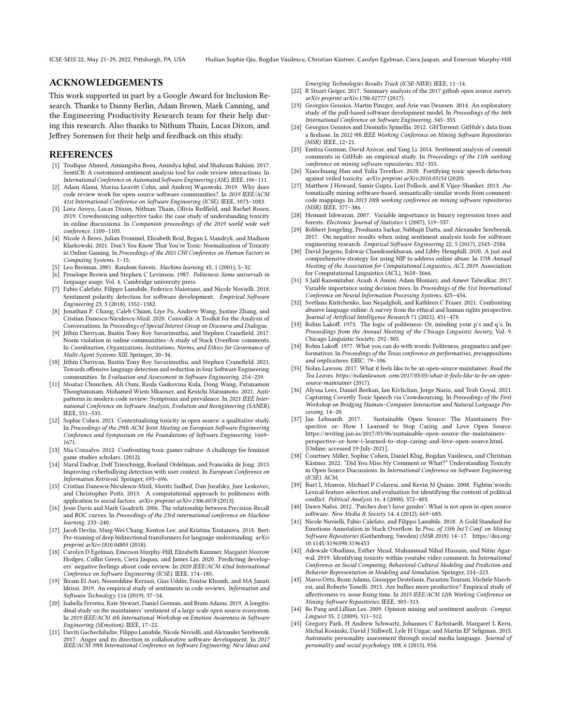### ACKNOWLEDGEMENTS

This work supported in part by a Google Award for Inclusion Research. Thanks to Danny Berlin, Adam Brown, Mark Canning, and the Engineering Productivity Research team for their help during this research. Also thanks to Nithum Thain, Lucas Dixon, and Jeffrey Sorensen for their help and feedback on this study.

### REFERENCES

- <span id="page-11-33"></span>[1] Toufique Ahmed, Amiangshu Bosu, Anindya Iqbal, and Shahram Rahimi. 2017. SentiCR: A customized sentiment analysis tool for code review interactions. In International Conference on Automated Software Engineering (ASE). IEEE, 106–111.
- <span id="page-11-13"></span>[2] Adam Alami, Marisa Leavitt Cohn, and Andrzej Wąsowski. 2019. Why does code review work for open source software communities?. In 2019 IEEE/ACM 41st International Conference on Software Engineering (ICSE). IEEE, 1073–1083.
- <span id="page-11-0"></span>[3] Lora Aroyo, Lucas Dixon, Nithum Thain, Olivia Redfield, and Rachel Rosen. 2019. Crowdsourcing subjective tasks: the case study of understanding toxicity in online discussions. In Companion proceedings of the 2019 world wide web conference. 1100–1105.
- <span id="page-11-4"></span>[4] Nicole A Beres, Julian Frommel, Elizabeth Reid, Regan L Mandryk, and Madison Klarkowski. 2021. Don't You Know That You're Toxic: Normalization of Toxicity in Online Gaming. In Proceedings of the 2021 CHI Conference on Human Factors in Computing Systems. 1–15.
- <span id="page-11-37"></span>Leo Breiman. 2001. Random forests. Machine learning 45, 1 (2001), 5-32.
- <span id="page-11-25"></span>[6] Penelope Brown and Stephen C Levinson. 1987. Politeness: Some universals in language usage. Vol. 4. Cambridge university press.
- <span id="page-11-31"></span>[7] Fabio Calefato, Filippo Lanubile, Federico Maiorano, and Nicole Novielli. 2018. Sentiment polarity detection for software development. Empirical Software Engineering 23, 3 (2018), 1352–1382.
- <span id="page-11-28"></span>[8] Jonathan P. Chang, Caleb Chiam, Liye Fu, Andrew Wang, Justine Zhang, and Cristian Danescu-Niculescu-Mizil. 2020. ConvoKit: A Toolkit for the Analysis of Conversations. In Proceedings of Special Interest Group on Discourse and Dialogue.
- <span id="page-11-17"></span>[9] Jithin Cheriyan, Bastin Tony Roy Savarimuthu, and Stephen Cranefield. 2017. Norm violation in online communities–A study of Stack Overflow comments. In Coordination, Organizations, Institutions, Norms, and Ethics for Governance of Multi-Agent Systems XIII. Springer, 20–34.
- <span id="page-11-20"></span>[10] Jithin Cheriyan, Bastin Tony Roy Savarimuthu, and Stephen Cranefield. 2021. Towards offensive language detection and reduction in four Software Engineering communities. In Evaluation and Assessment in Software Engineering. 254–259.
- <span id="page-11-16"></span>[11] Moataz Chouchen, Ali Ouni, Raula Gaikovina Kula, Dong Wang, Patanamon Thongtanunam, Mohamed Wiem Mkaouer, and Kenichi Matsumoto. 2021. Antipatterns in modern code review: Symptoms and prevalence. In 2021 IEEE International Conference on Software Analysis, Evolution and Reengineering (SANER). IEEE, 531–535.
- <span id="page-11-14"></span>[12] Sophie Cohen. 2021. Contextualizing toxicity in open source: a qualitative study. In Proceedings of the 29th ACM Joint Meeting on European Software Engineering Conference and Symposium on the Foundations of Software Engineering. 1669– 1671.
- <span id="page-11-5"></span>[13] Mia Consalvo. 2012. Confronting toxic gamer culture: A challenge for feminist game studies scholars. (2012).
- <span id="page-11-21"></span>[14] Maral Dadvar, Dolf Trieschnigg, Roeland Ordelman, and Franciska de Jong. 2013. Improving cyberbullying detection with user context. In European Conference on Information Retrieval. Springer, 693–696.
- <span id="page-11-22"></span>[15] Cristian Danescu-Niculescu-Mizil, Moritz Sudhof, Dan Jurafsky, Jure Leskovec, and Christopher Potts. 2013. A computational approach to politeness with application to social factors. *arXiv preprint arXiv:1306.6078* (2013).<br>[16] Jesse Davis and Mark Goadrich. 2006. The relationship between Precision-Recall
- <span id="page-11-40"></span>and ROC curves. In Proceedings of the 23rd international conference on Machine learning. 233–240.
- <span id="page-11-42"></span>[17] Jacob Devlin, Ming-Wei Chang, Kenton Lee, and Kristina Toutanova. 2018. Bert: Pre-training of deep bidirectional transformers for language understanding. arXiv preprint arXiv:1810.04805 (2018).
- <span id="page-11-12"></span>[18] Carolyn D Egelman, Emerson Murphy-Hill, Elizabeth Kammer, Margaret Morrow Hodges, Collin Green, Ciera Jaspan, and James Lin. 2020. Predicting developers' negative feelings about code review. In 2020 IEEE/ACM 42nd International Conference on Software Engineering (ICSE). IEEE, 174–185.
- <span id="page-11-10"></span>[19] Ikram El Asri, Noureddine Kerzazi, Gias Uddin, Foutse Khomh, and MA Janati Idrissi. 2019. An empirical study of sentiments in code reviews. Information and Software Technology 114 (2019), 37–54.
- <span id="page-11-6"></span>[20] Isabella Ferreira, Kate Stewart, Daniel German, and Bram Adams. 2019. A longitudinal study on the maintainers' sentiment of a large scale open source ecosystem. In 2019 IEEE/ACM 4th International Workshop on Emotion Awareness in Software Engineering (SEmotion). IEEE, 17–22.
- <span id="page-11-9"></span>[21] Daviti Gachechiladze, Filippo Lanubile, Nicole Novielli, and Alexander Serebrenik. 2017. Anger and its direction in collaborative software development. In 2017 IEEE/ACM 39th International Conference on Software Engineering: New Ideas and

Emerging Technologies Results Track (ICSE-NIER). IEEE, 11–14.

- <span id="page-11-7"></span>[22] R Stuart Geiger. 2017. Summary analysis of the 2017 github open source survey. arXiv preprint arXiv:1706.02777 (2017).
- <span id="page-11-35"></span>[23] Georgios Gousios, Martin Pinzger, and Arie van Deursen. 2014. An exploratory study of the pull-based software development model. In Proceedings of the 36th International Conference on Software Engineering. 345–355.
- <span id="page-11-36"></span>[24] Georgios Gousios and Diomidis Spinellis. 2012. GHTorrent: GitHub's data from a firehose. In 2012 9th IEEE Working Conference on Mining Software Repositories (MSR). IEEE, 12–21.
- <span id="page-11-30"></span>[25] Emitza Guzman, David Azócar, and Yang Li. 2014. Sentiment analysis of commit comments in GitHub: an empirical study. In Proceedings of the 11th working conference on mining software repositories. 352–355.
- <span id="page-11-44"></span>[26] Xiaochuang Han and Yulia Tsvetkov. 2020. Fortifying toxic speech detectors against veiled toxicity. arXiv preprint arXiv:2010.03154 (2020).
- <span id="page-11-43"></span>[27] Matthew J Howard, Samir Gupta, Lori Pollock, and K Vijay-Shanker. 2013. Automatically mining software-based, semantically-similar words from commentcode mappings. In 2013 10th working conference on mining software repositories (MSR). IEEE, 377–386.
- <span id="page-11-38"></span>[28] Hemant Ishwaran. 2007. Variable importance in binary regression trees and forests. Electronic Journal of Statistics 1 (2007), 519–537.
- <span id="page-11-32"></span>[29] Robbert Jongeling, Proshanta Sarkar, Subhajit Datta, and Alexander Serebrenik. 2017. On negative results when using sentiment analysis tools for software engineering research. Empirical Software Engineering 22, 5 (2017), 2543–2584.
- <span id="page-11-18"></span>[30] David Jurgens, Eshwar Chandrasekharan, and Libby Hemphill. 2020. A just and comprehensive strategy for using NlP to address online abuse. In 57th Annual Meeting of the Association for Computational Linguistics, ACL 2019. Association for Computational Linguistics (ACL), 3658–3666.
- <span id="page-11-39"></span>[31] S Jalil Kazemitabar, Arash A Amini, Adam Bloniarz, and Ameet Talwalkar. 2017. Variable importance using decision trees. In Proceedings of the 31st International Conference on Neural Information Processing Systems. 425–434.
- <span id="page-11-19"></span>[32] Svetlana Kiritchenko, Isar Nejadgholi, and Kathleen C Fraser. 2021. Confronting abusive language online: A survey from the ethical and human rights perspective. Journal of Artificial Intelligence Research 71 (2021), 431–478.
- <span id="page-11-26"></span>[33] Robin Lakoff. 1973. The logic of politeness: Or, minding your p's and q's. In Proceedings from the Annual Meeting of the Chicago Linguistic Society, Vol. 9. Chicago Linguistic Society, 292–305.
- <span id="page-11-27"></span>[34] Robin Lakoff. 1977. What you can do with words: Politeness, pragmatics and performatives. In Proceedings of the Texas conference on performatives, presuppositions and implicatures. ERIC, 79–106.
- <span id="page-11-2"></span>[35] Nolan Lawson. 2017. What it feels like to be an open-source maintainer. Read the Tea Leaves. https://nolanlawson. com/2017/03/05/what-it-feels-like-to-be-an-opensource-maintainer (2017).
- <span id="page-11-41"></span>[36] Alyssa Lees, Daniel Borkan, Ian Kivlichan, Jorge Nario, and Tesh Goyal. 2021. Capturing Covertly Toxic Speech via Crowdsourcing. In Proceedings of the First Workshop on Bridging Human–Computer Interaction and Natural Language Processing. 14–20.
- <span id="page-11-3"></span>[37] Jan Lehnardt. 2017. Sustainable Open Source: The Maintainers Perspective or: How I Learned to Stop Caring and Love Open Source. [https://writing.jan.io/2017/03/06/sustainable-open-source-the-maintainers](https://writing.jan.io/2017/03/06/sustainable-open-source-the-maintainers-perspective-or-how-i-learned-to-stop-caring-and-love-open-source.html)[perspective-or-how-i-learned-to-stop-caring-and-love-open-source.html.](https://writing.jan.io/2017/03/06/sustainable-open-source-the-maintainers-perspective-or-how-i-learned-to-stop-caring-and-love-open-source.html) [Online; accessed 19-July-2021].
- <span id="page-11-15"></span>[38] Courtney Miller, Sophie Cohen, Daniel Klug, Bogdan Vasilescu, and Christian Kästner. 2022. "Did You Miss My Comment or What?" Understanding Toxicity in Open Source Discussions. In International Conference on Software Engineering (ICSE). ACM.
- <span id="page-11-24"></span>[39] Burt L Monroe, Michael P Colaresi, and Kevin M Quinn. 2008. Fightin'words: Lexical feature selection and evaluation for identifying the content of political conflict. Political Analysis 16, 4 (2008), 372–403.
- <span id="page-11-8"></span>[40] Dawn Nafus. 2012. 'Patches don't have gender': What is not open in open source software. New Media & Society 14, 4 (2012), 669–683.
- <span id="page-11-34"></span>[41] Nicole Novielli, Fabio Calefato, and Filippo Lanubile. 2018. A Gold Standard for Emotions Annotation in Stack Overflow. In Proc. of 15th Int'l Conf. on Mining Software Repositories (Gothenburg, Sweden) (MSR 2018). 14–17. [https://doi.org/](https://doi.org/10.1145/3196398.3196453) [10.1145/3196398.3196453](https://doi.org/10.1145/3196398.3196453)
- <span id="page-11-1"></span>[42] Adewale Obadimu, Esther Mead, Muhammad Nihal Hussain, and Nitin Agarwal. 2019. Identifying toxicity within youtube video comment. In International Conference on Social Computing, Behavioral-Cultural Modeling and Prediction and Behavior Representation in Modeling and Simulation. Springer, 214–223.
- <span id="page-11-11"></span>[43] Marco Ortu, Bram Adams, Giuseppe Destefanis, Parastou Tourani, Michele Marchesi, and Roberto Tonelli. 2015. Are bullies more productive? Empirical study of affectiveness vs. issue fixing time. In 2015 IEEE/ACM 12th Working Conference on Mining Software Repositories. IEEE, 303–313.
- <span id="page-11-29"></span>[44] Bo Pang and Lillian Lee. 2009. Opinion mining and sentiment analysis. Comput. Linguist 35, 2 (2009), 311–312.
- <span id="page-11-23"></span>[45] Gregory Park, H Andrew Schwartz, Johannes C Eichstaedt, Margaret L Kern, Michal Kosinski, David J Stillwell, Lyle H Ungar, and Martin EP Seligman. 2015. Automatic personality assessment through social media language. Journal of personality and social psychology 108, 6 (2015), 934.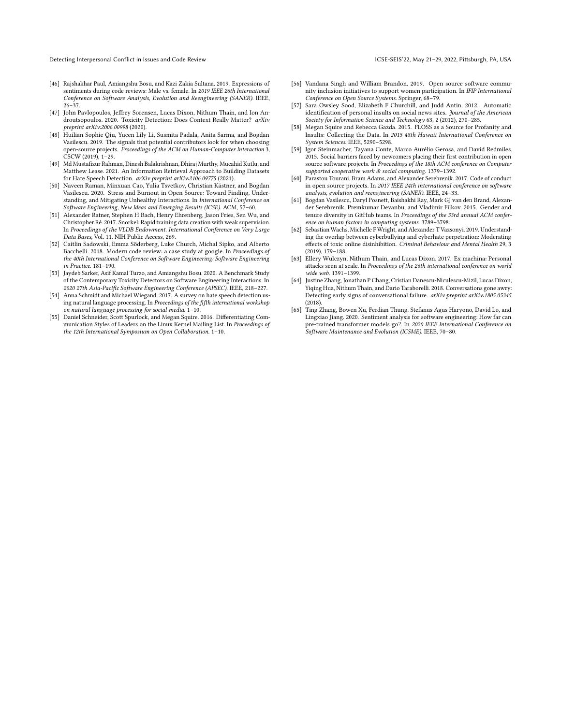Detecting Interpersonal Conflict in Issues and Code Review **ICSE-SEIS'22, May 21-29, 2022, Pittsburgh, PA, USA** 

- <span id="page-12-10"></span>[46] Rajshakhar Paul, Amiangshu Bosu, and Kazi Zakia Sultana. 2019. Expressions of sentiments during code reviews: Male vs. female. In 2019 IEEE 26th International Conference on Software Analysis, Evolution and Reengineering (SANER). IEEE, 26–37.
- <span id="page-12-0"></span>[47] John Pavlopoulos, Jeffrey Sorensen, Lucas Dixon, Nithum Thain, and Ion Androutsopoulos. 2020. Toxicity Detection: Does Context Really Matter? arXiv preprint arXiv:2006.00998 (2020).
- <span id="page-12-5"></span>[48] Huilian Sophie Qiu, Yucen Lily Li, Susmita Padala, Anita Sarma, and Bogdan Vasilescu. 2019. The signals that potential contributors look for when choosing open-source projects. Proceedings of the ACM on Human-Computer Interaction 3, CSCW (2019), 1–29.
- <span id="page-12-18"></span>[49] Md Mustafizur Rahman, Dinesh Balakrishnan, Dhiraj Murthy, Mucahid Kutlu, and Matthew Lease. 2021. An Information Retrieval Approach to Building Datasets for Hate Speech Detection. arXiv preprint arXiv:2106.09775 (2021).
- <span id="page-12-1"></span>[50] Naveen Raman, Minxuan Cao, Yulia Tsvetkov, Christian Kästner, and Bogdan Vasilescu. 2020. Stress and Burnout in Open Source: Toward Finding, Understanding, and Mitigating Unhealthy Interactions. In International Conference on Software Engineering, New Ideas and Emerging Results (ICSE). ACM, 57–60.
- <span id="page-12-19"></span>[51] Alexander Ratner, Stephen H Bach, Henry Ehrenberg, Jason Fries, Sen Wu, and Christopher Ré. 2017. Snorkel: Rapid training data creation with weak supervision. In Proceedings of the VLDB Endowment. International Conference on Very Large Data Bases, Vol. 11. NIH Public Access, 269.
- <span id="page-12-17"></span>[52] Caitlin Sadowski, Emma Söderberg, Luke Church, Michal Sipko, and Alberto Bacchelli. 2018. Modern code review: a case study at google. In Proceedings of the 40th International Conference on Software Engineering: Software Engineering in Practice. 181–190.
- <span id="page-12-11"></span>[53] Jaydeb Sarker, Asif Kamal Turzo, and Amiangshu Bosu. 2020. A Benchmark Study of the Contemporary Toxicity Detectors on Software Engineering Interactions. In 2020 27th Asia-Pacific Software Engineering Conference (APSEC). IEEE, 218–227.
- <span id="page-12-13"></span>[54] Anna Schmidt and Michael Wiegand. 2017. A survey on hate speech detection using natural language processing. In  $Proceedings$  of the fifth international workshop on natural language processing for social media. 1–10.
- <span id="page-12-3"></span>[55] Daniel Schneider, Scott Spurlock, and Megan Squire. 2016. Differentiating Communication Styles of Leaders on the Linux Kernel Mailing List. In Proceedings of the 12th International Symposium on Open Collaboration. 1–10.
- <span id="page-12-7"></span>[56] Vandana Singh and William Brandon. 2019. Open source software community inclusion initiatives to support women participation. In IFIP International Conference on Open Source Systems. Springer, 68–79.
- <span id="page-12-14"></span>[57] Sara Owsley Sood, Elizabeth F Churchill, and Judd Antin. 2012. Automatic identification of personal insults on social news sites. Journal of the American Society for Information Science and Technology 63, 2 (2012), 270–285.
- <span id="page-12-4"></span>[58] Megan Squire and Rebecca Gazda. 2015. FLOSS as a Source for Profanity and Insults: Collecting the Data. In 2015 48th Hawaii International Conference on System Sciences. IEEE, 5290–5298.
- <span id="page-12-6"></span>[59] Igor Steinmacher, Tayana Conte, Marco Aurélio Gerosa, and David Redmiles. 2015. Social barriers faced by newcomers placing their first contribution in open source software projects. In Proceedings of the 18th ACM conference on Computer supported cooperative work & social computing. 1379–1392.
- <span id="page-12-8"></span>[60] Parastou Tourani, Bram Adams, and Alexander Serebrenik. 2017. Code of conduct in open source projects. In 2017 IEEE 24th international conference on software analysis, evolution and reengineering (SANER). IEEE, 24–33.
- <span id="page-12-9"></span>[61] Bogdan Vasilescu, Daryl Posnett, Baishakhi Ray, Mark GJ van den Brand, Alexander Serebrenik, Premkumar Devanbu, and Vladimir Filkov. 2015. Gender and tenure diversity in GitHub teams. In Proceedings of the 33rd annual ACM conference on human factors in computing systems. 3789–3798.
- <span id="page-12-2"></span>[62] Sebastian Wachs, Michelle F Wright, and Alexander T Vazsonyi. 2019. Understanding the overlap between cyberbullying and cyberhate perpetration: Moderating effects of toxic online disinhibition. Criminal Behaviour and Mental Health 29, 3 (2019), 179–188.
- <span id="page-12-12"></span>[63] Ellery Wulczyn, Nithum Thain, and Lucas Dixon. 2017. Ex machina: Personal attacks seen at scale. In Proceedings of the 26th international conference on world wide web. 1391–1399.
- <span id="page-12-15"></span>[64] Justine Zhang, Jonathan P Chang, Cristian Danescu-Niculescu-Mizil, Lucas Dixon, Yiqing Hua, Nithum Thain, and Dario Taraborelli. 2018. Conversations gone awry: Detecting early signs of conversational failure. arXiv preprint arXiv:1805.05345 (2018).
- <span id="page-12-16"></span>[65] Ting Zhang, Bowen Xu, Ferdian Thung, Stefanus Agus Haryono, David Lo, and Lingxiao Jiang. 2020. Sentiment analysis for software engineering: How far can pre-trained transformer models go?. In 2020 IEEE International Conference on Software Maintenance and Evolution (ICSME). IEEE, 70–80.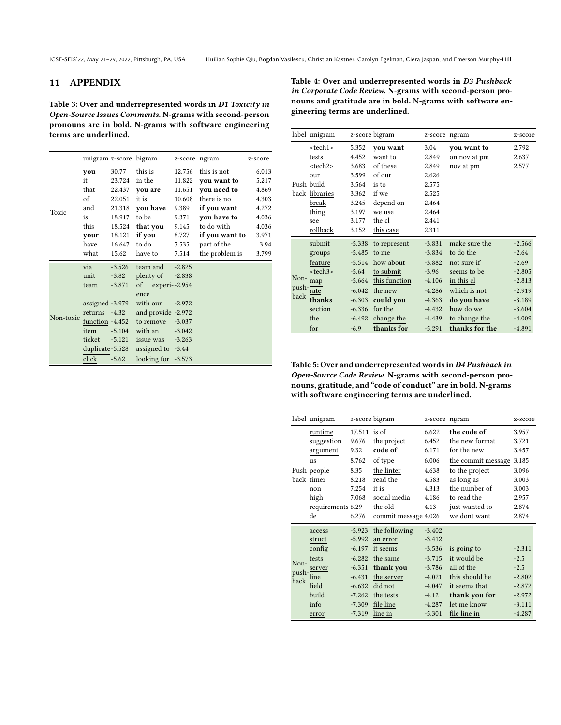# 11 APPENDIX

<span id="page-13-0"></span>Table 3: Over and underrepresented words in D1 Toxicity in Open-Source Issues Comments. N-grams with second-person pronouns are in bold. N-grams with software engineering terms are underlined.

unigram z-score bigram z-score ngram z-score you 30.77 this is 12.756 this is not 6.013 it 23.724 in the 11.822 you want to 5.217 that 22.437 you are 11.651 you need to 4.869 of 22.051 it is 10.608 there is no 4.303 and 21.318 you have 9.389 if you want 4.272 is 18.917 to be 9.371 you have to 4.036 this 18.524 that you 9.145 to do with 4.036 your 18.121 if you 8.727 if you want to 3.971 have 16.647 to do 7.535 part of the 3.94 Toxic what 15.62 have to 7.514 the problem is 3.799 via -3.526 team and -2.825 unit -3.82 plenty of -2.838 team -3.871 of experi--2.954 ence assigned -3.979 with our -2.972 returns -4.32 and provide -2.972 function -4.452 to remove -3.037 item -5.104 with an -3.042 ticket -5.121 issue was -3.263 duplicate-5.528 assigned to -3.44 Non-toxic click -5.62 looking for -3.573

<span id="page-13-1"></span>

| Table 4: Over and underrepresented words in D3 Pushback    |
|------------------------------------------------------------|
| in Corporate Code Review. N-grams with second-person pro-  |
| nouns and gratitude are in bold. N-grams with software en- |
| gineering terms are underlined.                            |

|                       | label unigram   |          | z-score bigram | z-score  | ngram          | z-score  |
|-----------------------|-----------------|----------|----------------|----------|----------------|----------|
|                       | <tech1></tech1> | 5.352    | you want       | 3.04     | you want to    | 2.792    |
|                       | tests           | 4.452    | want to        | 2.849    | on nov at pm   | 2.637    |
|                       | <tech2></tech2> | 3.683    | of these       | 2.849    | nov at pm      | 2.577    |
|                       | our             | 3.599    | of our         | 2.626    |                |          |
|                       | Push build      | 3.564    | is to          | 2.575    |                |          |
|                       | back libraries  | 3.362    | if we          | 2.525    |                |          |
|                       | break           | 3.245    | depend on      | 2.464    |                |          |
|                       | thing           | 3.197    | we use         | 2.464    |                |          |
|                       | see             | 3.177    | the cl         | 2.441    |                |          |
|                       | rollback        | 3.152    | this case      | 2.311    |                |          |
|                       | submit          | $-5.338$ | to represent   | $-3.831$ | make sure the  | $-2.566$ |
|                       | groups          | $-5.485$ | to me          | $-3.834$ | to do the      | $-2.64$  |
| Non-<br>push-<br>back | feature         | $-5.514$ | how about      | $-3.882$ | not sure if    | $-2.69$  |
|                       | <tech3></tech3> | $-5.64$  | to submit      | $-3.96$  | seems to be    | $-2.805$ |
|                       | map             | $-5.664$ | this function  | $-4.106$ | in this cl     | $-2.813$ |
|                       | rate            | $-6.042$ | the new        | $-4.286$ | which is not   | $-2.919$ |
|                       | thanks          | $-6.303$ | could you      | $-4.363$ | do you have    | $-3.189$ |
|                       | section         | $-6.336$ | for the        | $-4.432$ | how do we      | $-3.604$ |
|                       | the             | $-6.492$ | change the     | $-4.439$ | to change the  | $-4.009$ |
|                       | for             | $-6.9$   | thanks for     | $-5.291$ | thanks for the | $-4.891$ |

<span id="page-13-2"></span>Table 5: Over and underrepresented words inD4 Pushback in Open-Source Code Review. N-grams with second-person pronouns, gratitude, and "code of conduct" are in bold. N-grams with software engineering terms are underlined.

|                       | label unigram     |              | z-score bigram       | z-score ngram |                    | z-score  |
|-----------------------|-------------------|--------------|----------------------|---------------|--------------------|----------|
|                       | runtime           | 17.511 is of |                      | 6.622         | the code of        | 3.957    |
|                       | suggestion        | 9.676        | the project          | 6.452         | the new format     | 3.721    |
|                       | argument          | 9.32         | code of              | 6.171         | for the new        | 3.457    |
|                       | us                | 8.762        | of type              | 6.006         | the commit message | 3.185    |
|                       | Push people       | 8.35         | the linter           | 4.638         | to the project     | 3.096    |
|                       | back timer        | 8.218        | read the             | 4.583         | as long as         | 3.003    |
|                       | non               | 7.254        | it is                | 4.313         | the number of      | 3.003    |
|                       | high              | 7.068        | social media         | 4.186         | to read the        | 2.957    |
|                       | requirements 6.29 |              | the old              | 4.13          | just wanted to     | 2.874    |
|                       | de                | 6.276        | commit message 4.026 |               | we dont want       | 2.874    |
|                       | access            | $-5.923$     | the following        | $-3.402$      |                    |          |
|                       | struct            | $-5.992$     | an error             | $-3.412$      |                    |          |
|                       | config            | $-6.197$     | it seems             | $-3.536$      | is going to        | $-2.311$ |
|                       | tests             | $-6.282$     | the same             | $-3.715$      | it would be        | $-2.5$   |
| Non-<br>push-<br>back | server            | $-6.351$     | thank you            | $-3.786$      | all of the         | $-2.5$   |
|                       | line              | $-6.431$     | the server           | $-4.021$      | this should be     | $-2.802$ |
|                       | field             | $-6.632$     | did not              | $-4.047$      | it seems that      | $-2.872$ |
|                       | build             | $-7.262$     | the tests            | $-4.12$       | thank you for      | $-2.972$ |
|                       | info              | $-7.309$     | file line            | $-4.287$      | let me know        | $-3.111$ |
|                       | error             | $-7.319$     | line in              | $-5.301$      | file line in       | $-4.287$ |